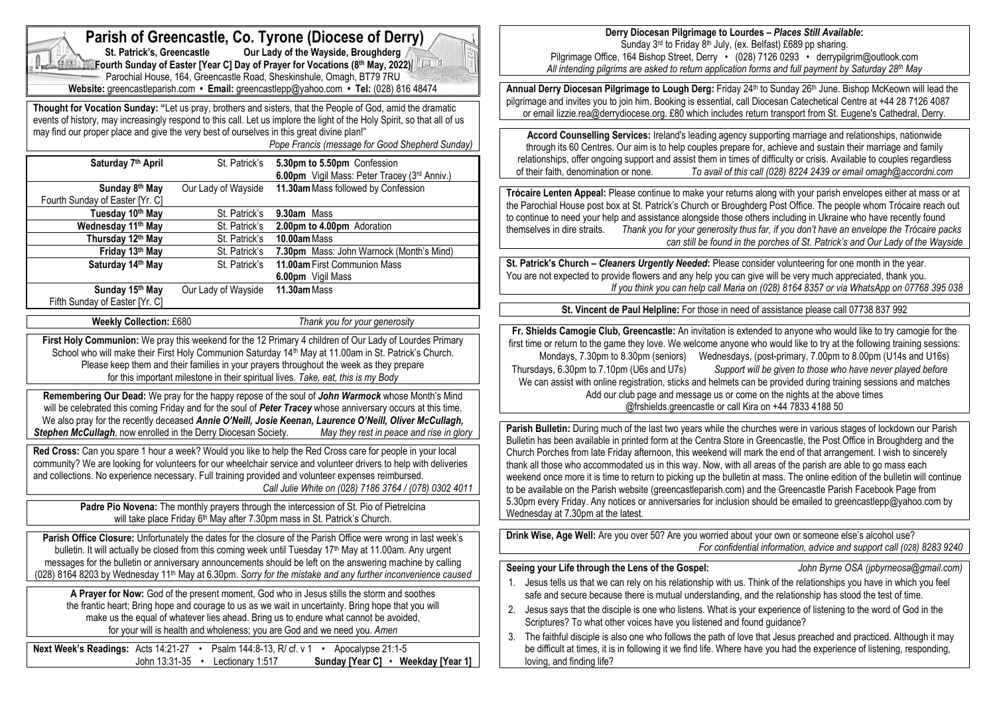| Parish of Greencastle, Co. Tyrone (Diocese of Derry)<br>Our Lady of the Wayside, Broughderg<br>St. Patrick's, Greencastle<br>Fourth Sunday of Easter [Year C] Day of Prayer for Vocations (8th May, 2022)<br>Parochial House, 164, Greencastle Road, Sheskinshule, Omagh, BT79 7RU                                                                                                                                                                                                                                                                                                                                                                                                                                                                                                                            | Derry Diocesan Pilgrimage to Lourdes - Places Still Available:<br>Sunday 3rd to Friday 8th July, (ex. Belfast) £689 pp sharing.<br>Pilgrimage Office, 164 Bishop Street, Derry · (028) 7126 0293 · derrypilgrim@outlook.com<br>All intending pilgrims are asked to return application forms and full payment by Saturday 28th May                                                                                                                                                                                                                                                                                                                                                                                                                                                                                                                                                        |
|---------------------------------------------------------------------------------------------------------------------------------------------------------------------------------------------------------------------------------------------------------------------------------------------------------------------------------------------------------------------------------------------------------------------------------------------------------------------------------------------------------------------------------------------------------------------------------------------------------------------------------------------------------------------------------------------------------------------------------------------------------------------------------------------------------------|------------------------------------------------------------------------------------------------------------------------------------------------------------------------------------------------------------------------------------------------------------------------------------------------------------------------------------------------------------------------------------------------------------------------------------------------------------------------------------------------------------------------------------------------------------------------------------------------------------------------------------------------------------------------------------------------------------------------------------------------------------------------------------------------------------------------------------------------------------------------------------------|
| Website: greencastleparish.com • Email: greencastlepp@yahoo.com • Tel: (028) 816 48474<br>Thought for Vocation Sunday: "Let us pray, brothers and sisters, that the People of God, amid the dramatic<br>events of history, may increasingly respond to this call. Let us implore the light of the Holy Spirit, so that all of us                                                                                                                                                                                                                                                                                                                                                                                                                                                                              | Annual Derry Diocesan Pilgrimage to Lough Derg: Friday 24th to Sunday 26th June. Bishop McKeown will lead the<br>pilgrimage and invites you to join him. Booking is essential, call Diocesan Catechetical Centre at +44 28 7126 4087<br>or email lizzie.rea@derrydiocese.org. £80 which includes return transport from St. Eugene's Cathedral, Derry.                                                                                                                                                                                                                                                                                                                                                                                                                                                                                                                                    |
| may find our proper place and give the very best of ourselves in this great divine plan!"<br>Pope Francis (message for Good Shepherd Sunday)<br>Saturday 7th April<br>St. Patrick's 5.30pm to 5.50pm Confession                                                                                                                                                                                                                                                                                                                                                                                                                                                                                                                                                                                               | Accord Counselling Services: Ireland's leading agency supporting marriage and relationships, nationwide<br>through its 60 Centres. Our aim is to help couples prepare for, achieve and sustain their marriage and family<br>relationships, offer ongoing support and assist them in times of difficulty or crisis. Available to couples regardless<br>To avail of this call (028) 8224 2439 or email omagh@accordni.com<br>of their faith, denomination or none.                                                                                                                                                                                                                                                                                                                                                                                                                         |
| 6.00pm Vigil Mass: Peter Tracey (3rd Anniv.)<br>Our Lady of Wayside<br>11.30am Mass followed by Confession<br>Sunday 8th May<br>Fourth Sunday of Easter [Yr. C]<br>St. Patrick's 9.30am Mass<br>Tuesday 10th May<br>St. Patrick's<br>Wednesday 11 <sup>th</sup> May<br>2.00pm to 4.00pm Adoration<br>Thursday 12th May<br>St. Patrick's<br>10.00am Mass                                                                                                                                                                                                                                                                                                                                                                                                                                                       | Trócaire Lenten Appeal: Please continue to make your returns along with your parish envelopes either at mass or at<br>the Parochial House post box at St. Patrick's Church or Broughderg Post Office. The people whom Trócaire reach out<br>to continue to need your help and assistance alongside those others including in Ukraine who have recently found<br>themselves in dire straits.<br>Thank you for your generosity thus far, if you don't have an envelope the Trócaire packs                                                                                                                                                                                                                                                                                                                                                                                                  |
| 7.30pm Mass: John Warnock (Month's Mind)<br>Friday 13th May<br>St. Patrick's<br>11.00am First Communion Mass<br>Saturday 14th May<br>St. Patrick's<br>6.00pm Vigil Mass                                                                                                                                                                                                                                                                                                                                                                                                                                                                                                                                                                                                                                       | can still be found in the porches of St. Patrick's and Our Lady of the Wayside<br>St. Patrick's Church - Cleaners Urgently Needed: Please consider volunteering for one month in the year.<br>You are not expected to provide flowers and any help you can give will be very much appreciated, thank you.                                                                                                                                                                                                                                                                                                                                                                                                                                                                                                                                                                                |
| Our Lady of Wayside<br>Sunday 15th May<br>11.30am Mass<br>Fifth Sunday of Easter [Yr. C]<br><b>Weekly Collection: £680</b><br>Thank you for your generosity                                                                                                                                                                                                                                                                                                                                                                                                                                                                                                                                                                                                                                                   | If you think you can help call Maria on (028) 8164 8357 or via WhatsApp on 07768 395 038<br>St. Vincent de Paul Helpline: For those in need of assistance please call 07738 837 992                                                                                                                                                                                                                                                                                                                                                                                                                                                                                                                                                                                                                                                                                                      |
| First Holy Communion: We pray this weekend for the 12 Primary 4 children of Our Lady of Lourdes Primary<br>School who will make their First Holy Communion Saturday 14 <sup>th</sup> May at 11.00am in St. Patrick's Church.<br>Please keep them and their families in your prayers throughout the week as they prepare<br>for this important milestone in their spiritual lives. Take, eat, this is my Body<br>Remembering Our Dead: We pray for the happy repose of the soul of John Warmock whose Month's Mind<br>will be celebrated this coming Friday and for the soul of Peter Tracey whose anniversary occurs at this time.                                                                                                                                                                            | Fr. Shields Camogie Club, Greencastle: An invitation is extended to anyone who would like to try camogie for the<br>first time or return to the game they love. We welcome anyone who would like to try at the following training sessions:<br>Mondays, 7.30pm to 8.30pm (seniors) Wednesdays, (post-primary, 7.00pm to 8.00pm (U14s and U16s)<br>Thursdays, 6.30pm to 7.10pm (U6s and U7s)<br>Support will be given to those who have never played before<br>We can assist with online registration, sticks and helmets can be provided during training sessions and matches<br>Add our club page and message us or come on the nights at the above times<br>@frshields.greencastle or call Kira on +44 7833 4188 50                                                                                                                                                                    |
| We also pray for the recently deceased Annie O'Neill, Josie Keenan, Laurence O'Neill, Oliver McCullagh,<br>Stephen McCullagh, now enrolled in the Derry Diocesan Society.<br>May they rest in peace and rise in glory<br>Red Cross: Can you spare 1 hour a week? Would you like to help the Red Cross care for people in your local<br>community? We are looking for volunteers for our wheelchair service and volunteer drivers to help with deliveries<br>and collections. No experience necessary. Full training provided and volunteer expenses reimbursed.<br>Call Julie White on (028) 7186 3764 / (078) 0302 4011<br>Padre Pio Novena: The monthly prayers through the intercession of St. Pio of Pietrelcina<br>will take place Friday 6 <sup>th</sup> May after 7.30pm mass in St. Patrick's Church. | Parish Bulletin: During much of the last two years while the churches were in various stages of lockdown our Parish<br>Bulletin has been available in printed form at the Centra Store in Greencastle, the Post Office in Broughderg and the<br>Church Porches from late Friday afternoon, this weekend will mark the end of that arrangement. I wish to sincerely<br>thank all those who accommodated us in this way. Now, with all areas of the parish are able to go mass each<br>weekend once more it is time to return to picking up the bulletin at mass. The online edition of the bulletin will continue<br>to be available on the Parish website (greencastleparish.com) and the Greencastle Parish Facebook Page from<br>5.30pm every Friday. Any notices or anniversaries for inclusion should be emailed to greencastlepp@yahoo.com by<br>Wednesday at 7.30pm at the latest. |
| Parish Office Closure: Unfortunately the dates for the closure of the Parish Office were wrong in last week's<br>bulletin. It will actually be closed from this coming week until Tuesday 17 <sup>th</sup> May at 11.00am. Any urgent                                                                                                                                                                                                                                                                                                                                                                                                                                                                                                                                                                         | Drink Wise, Age Well: Are you over 50? Are you worried about your own or someone else's alcohol use?<br>For confidential information, advice and support call (028) 8283 9240                                                                                                                                                                                                                                                                                                                                                                                                                                                                                                                                                                                                                                                                                                            |
| messages for the bulletin or anniversary announcements should be left on the answering machine by calling<br>(028) 8164 8203 by Wednesday 11 <sup>th</sup> May at 6.30pm. Sorry for the mistake and any further inconvenience caused<br>A Prayer for Now: God of the present moment, God who in Jesus stills the storm and soothes<br>the frantic heart; Bring hope and courage to us as we wait in uncertainty. Bring hope that you will<br>make us the equal of whatever lies ahead. Bring us to endure what cannot be avoided,<br>for your will is health and wholeness; you are God and we need you. Amen<br>Next Week's Readings: Acts 14:21-27 • Psalm 144:8-13, R/ cf. v 1 • Apocalypse 21:1-5<br>Sunday [Year C] • Weekday [Year 1]<br>John 13:31-35 • Lectionary 1:517                               | Seeing your Life through the Lens of the Gospel:<br>John Byrne OSA (jpbyrneosa@gmail.com)<br>1. Jesus tells us that we can rely on his relationship with us. Think of the relationships you have in which you feel<br>safe and secure because there is mutual understanding, and the relationship has stood the test of time.<br>Jesus says that the disciple is one who listens. What is your experience of listening to the word of God in the<br>2.<br>Scriptures? To what other voices have you listened and found guidance?<br>The faithful disciple is also one who follows the path of love that Jesus preached and practiced. Although it may<br>3.<br>be difficult at times, it is in following it we find life. Where have you had the experience of listening, responding,<br>loving, and finding life?                                                                       |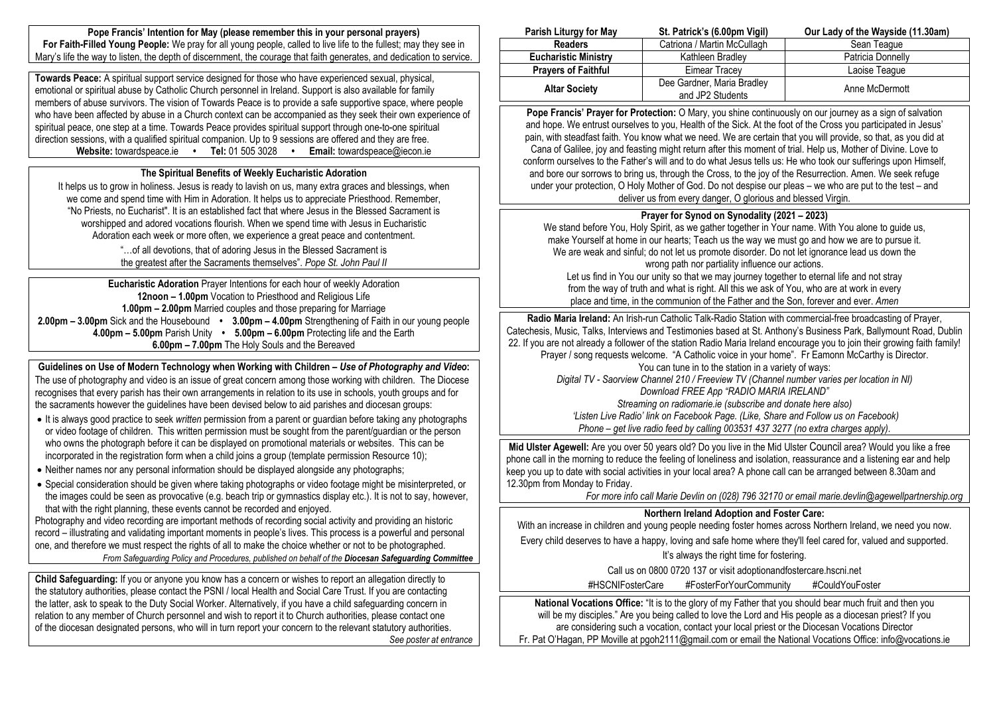**Pope Francis' Intention for May (please remember this in your personal prayers) For Faith-Filled Young People:** We pray for all young people, called to live life to the fullest; may they see in Mary's life the way to listen, the depth of discernment, the courage that faith generates, and dedication to service.

**Towards Peace:** A spiritual support service designed for those who have experienced sexual, physical, emotional or spiritual abuse by Catholic Church personnel in Ireland. Support is also available for family members of abuse survivors. The vision of Towards Peace is to provide a safe supportive space, where people who have been affected by abuse in a Church context can be accompanied as they seek their own experience of spiritual peace, one step at a time. Towards Peace provides spiritual support through one-to-one spiritual direction sessions, with a qualified spiritual companion. Up to 9 sessions are offered and they are free. **Website:** towardspeace.ie **• Tel:** 01 505 3028 **• Email:** [towardspeace@iecon.ie](mailto:towardspeace@iecon.ie)

# **The Spiritual Benefits of Weekly Eucharistic Adoration**

It helps us to grow in holiness. Jesus is ready to lavish on us, many extra graces and blessings, when we come and spend time with Him in Adoration. It helps us to appreciate Priesthood. Remember, "No Priests, no Eucharist". It is an established fact that where Jesus in the Blessed Sacrament is worshipped and adored vocations flourish. When we spend time with Jesus in Eucharistic Adoration each week or more often, we experience a great peace and contentment.

> "…of all devotions, that of adoring Jesus in the Blessed Sacrament is the greatest after the Sacraments themselves". *Pope St. John Paul II*

**Eucharistic Adoration** Prayer Intentions for each hour of weekly Adoration **12noon – 1.00pm** Vocation to Priesthood and Religious Life **1.00pm – 2.00pm** Married couples and those preparing for Marriage **2.00pm – 3.00pm** Sick and the Housebound **• 3.00pm – 4.00pm** Strengthening of Faith in our young people **4.00pm – 5.00pm** Parish Unity **• 5.00pm – 6.00pm** Protecting life and the Earth **6.00pm – 7.00pm** The Holy Souls and the Bereaved

**Guidelines on Use of Modern Technology when Working with Children –** *Use of Photography and Video***:** The use of photography and video is an issue of great concern among those working with children. The Diocese recognises that every parish has their own arrangements in relation to its use in schools, youth groups and for the sacraments however the guidelines have been devised below to aid parishes and diocesan groups:

- It is always good practice to seek *written* permission from a parent or guardian before taking any photographs or video footage of children. This written permission must be sought from the parent/guardian or the person who owns the photograph before it can be displayed on promotional materials or websites. This can be incorporated in the registration form when a child joins a group (template permission Resource 10);
- Neither names nor any personal information should be displayed alongside any photographs:
- Special consideration should be given where taking photographs or video footage might be misinterpreted, or the images could be seen as provocative (e.g. beach trip or gymnastics display etc.). It is not to say, however, that with the right planning, these events cannot be recorded and enjoyed.

Photography and video recording are important methods of recording social activity and providing an historic record – illustrating and validating important moments in people's lives. This process is a powerful and personal one, and therefore we must respect the rights of all to make the choice whether or not to be photographed. *From Safeguarding Policy and Procedures, published on behalf of the Diocesan Safeguarding Committee*

**Child Safeguarding:** If you or anyone you know has a concern or wishes to report an allegation directly to the statutory authorities, please contact the PSNI / local Health and Social Care Trust. If you are contacting the latter, ask to speak to the Duty Social Worker. Alternatively, if you have a child safeguarding concern in relation to any member of Church personnel and wish to report it to Church authorities, please contact one of the diocesan designated persons, who will in turn report your concern to the relevant statutory authorities. *See poster at entrance*

| Parish Liturgy for May      | St. Patrick's (6.00pm Vigil)                   | Our Lady of the Wayside (11.30am) |
|-----------------------------|------------------------------------------------|-----------------------------------|
| <b>Readers</b>              | Catriona / Martin McCullagh                    | Sean Teaque                       |
| <b>Eucharistic Ministry</b> | Kathleen Bradlev                               | Patricia Donnelly                 |
| <b>Prayers of Faithful</b>  | Eimear Tracev                                  | Laoise Teague                     |
| <b>Altar Society</b>        | Dee Gardner, Maria Bradley<br>and JP2 Students | Anne McDermott                    |

**Pope Francis' Prayer for Protection:** O Mary, you shine continuously on our journey as a sign of salvation and hope. We entrust ourselves to you, Health of the Sick. At the foot of the Cross you participated in Jesus' pain, with steadfast faith. You know what we need. We are certain that you will provide, so that, as you did at Cana of Galilee, joy and feasting might return after this moment of trial. Help us, Mother of Divine. Love to conform ourselves to the Father's will and to do what Jesus tells us: He who took our sufferings upon Himself, and bore our sorrows to bring us, through the Cross, to the joy of the Resurrection. Amen. We seek refuge under your protection, O Holy Mother of God. Do not despise our pleas – we who are put to the test – and deliver us from every danger, O glorious and blessed Virgin.

### **Prayer for Synod on Synodality (2021 – 2023)**

We stand before You, Holy Spirit, as we gather together in Your name. With You alone to guide us, make Yourself at home in our hearts; Teach us the way we must go and how we are to pursue it. We are weak and sinful; do not let us promote disorder. Do not let ignorance lead us down the wrong path nor partiality influence our actions.

Let us find in You our unity so that we may journey together to eternal life and not stray from the way of truth and what is right. All this we ask of You, who are at work in every place and time, in the communion of the Father and the Son, forever and ever. *Amen*

**Radio Maria Ireland:** An Irish-run Catholic Talk-Radio Station with commercial-free broadcasting of Prayer, Catechesis, Music, Talks, Interviews and Testimonies based at St. Anthony's Business Park, Ballymount Road, Dublin 22. If you are not already a follower of the station Radio Maria Ireland encourage you to join their growing faith family! Prayer / song requests welcome. "A Catholic voice in your home". Fr Eamonn McCarthy is Director. You can tune in to the station in a variety of ways: *Digital TV - Saorview Channel 210 / Freeview TV (Channel number varies per location in NI) Download FREE App "RADIO MARIA IRELAND" Streaming on radiomarie.ie (subscribe and donate here also) 'Listen Live Radio' link on Facebook Page. (Like, Share and Follow us on Facebook)*

*Phone – get live radio feed by calling 003531 437 3277 (no extra charges apply).*

**Mid Ulster Agewell:** Are you over 50 years old? Do you live in the Mid Ulster Council area? Would you like a free phone call in the morning to reduce the feeling of loneliness and isolation, reassurance and a listening ear and help keep you up to date with social activities in your local area? A phone call can be arranged between 8.30am and 12.30pm from Monday to Friday.

*For more info call Marie Devlin on (028) 796 32170 or email [marie.devlin@agewellpartnership.org](mailto:marie.devlin@agewellpartnership.org)*

### **Northern Ireland Adoption and Foster Care:**

With an increase in children and young people needing foster homes across Northern Ireland, we need you now.

Every child deserves to have a happy, loving and safe home where they'll feel cared for, valued and supported.

It's always the right time for fostering.

Call us on 0800 0720 137 or visit adoptionandfostercare.hscni.net

#HSCNIFosterCare #FosterForYourCommunity #CouldYouFoster

**National Vocations Office:** "It is to the glory of my Father that you should bear much fruit and then you will be my disciples." Are you being called to love the Lord and His people as a diocesan priest? If you are considering such a vocation, contact your local priest or the Diocesan Vocations Director Fr. Pat O'Hagan, PP Moville at pgoh2111@gmail.com or email the National Vocations Office: info@vocations.ie